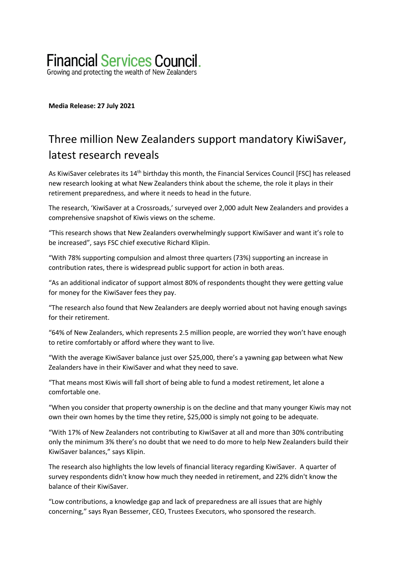# **Financial Services Council.**

Growing and protecting the wealth of New Zealanders

**Media Release: 27 July 2021**

# Three million New Zealanders support mandatory KiwiSaver, latest research reveals

As KiwiSaver celebrates its 14th birthday this month, the Financial Services Council [FSC] has released new research looking at what New Zealanders think about the scheme, the role it plays in their retirement preparedness, and where it needs to head in the future.

The research, 'KiwiSaver at a Crossroads,' surveyed over 2,000 adult New Zealanders and provides a comprehensive snapshot of Kiwis views on the scheme.

"This research shows that New Zealanders overwhelmingly support KiwiSaver and want it's role to be increased", says FSC chief executive Richard Klipin.

"With 78% supporting compulsion and almost three quarters (73%) supporting an increase in contribution rates, there is widespread public support for action in both areas.

"As an additional indicator of support almost 80% of respondents thought they were getting value for money for the KiwiSaver fees they pay.

"The research also found that New Zealanders are deeply worried about not having enough savings for their retirement.

"64% of New Zealanders, which represents 2.5 million people, are worried they won't have enough to retire comfortably or afford where they want to live.

"With the average KiwiSaver balance just over \$25,000, there's a yawning gap between what New Zealanders have in their KiwiSaver and what they need to save.

"That means most Kiwis will fall short of being able to fund a modest retirement, let alone a comfortable one.

"When you consider that property ownership is on the decline and that many younger Kiwis may not own their own homes by the time they retire, \$25,000 is simply not going to be adequate.

"With 17% of New Zealanders not contributing to KiwiSaver at all and more than 30% contributing only the minimum 3% there's no doubt that we need to do more to help New Zealanders build their KiwiSaver balances," says Klipin.

The research also highlights the low levels of financial literacy regarding KiwiSaver. A quarter of survey respondents didn't know how much they needed in retirement, and 22% didn't know the balance of their KiwiSaver.

"Low contributions, a knowledge gap and lack of preparedness are all issues that are highly concerning," says Ryan Bessemer, CEO, Trustees Executors, who sponsored the research.